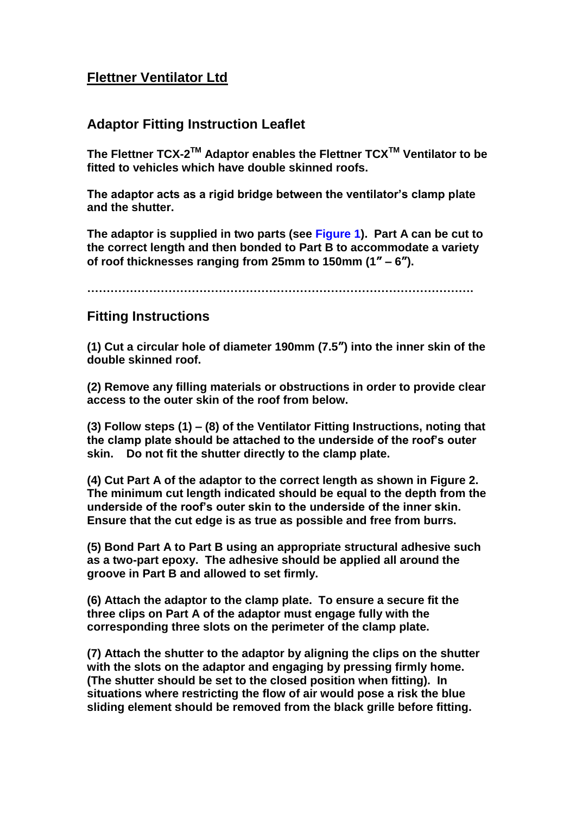## **Flettner Ventilator Ltd**

## **Adaptor Fitting Instruction Leaflet**

The Flettner TCX-2<sup>™</sup> Adaptor enables the Flettner TCX<sup>™</sup> Ventilator to be **fitted to vehicles which have double skinned roofs.**

**The adaptor acts as a rigid bridge between the ventilator's clamp plate and the shutter.**

**The adaptor is supplied in two parts (see Figure 1). Part A can be cut to the correct length and then bonded to Part B to accommodate a variety of roof thicknesses ranging from 25mm to 150mm (1" – 6").** 

**……………………………………………………………………………………….**

## **Fitting Instructions**

**(1) Cut a circular hole of diameter 190mm (7.5") into the inner skin of the double skinned roof.** 

**(2) Remove any filling materials or obstructions in order to provide clear access to the outer skin of the roof from below.** 

**(3) Follow steps (1) – (8) of the Ventilator Fitting Instructions, noting that the clamp plate should be attached to the underside of the roof's outer skin. Do not fit the shutter directly to the clamp plate.**

**(4) Cut Part A of the adaptor to the correct length as shown in Figure 2. The minimum cut length indicated should be equal to the depth from the underside of the roof's outer skin to the underside of the inner skin. Ensure that the cut edge is as true as possible and free from burrs.** 

**(5) Bond Part A to Part B using an appropriate structural adhesive such as a two-part epoxy. The adhesive should be applied all around the groove in Part B and allowed to set firmly.**

**(6) Attach the adaptor to the clamp plate. To ensure a secure fit the three clips on Part A of the adaptor must engage fully with the corresponding three slots on the perimeter of the clamp plate.** 

**(7) Attach the shutter to the adaptor by aligning the clips on the shutter with the slots on the adaptor and engaging by pressing firmly home. (The shutter should be set to the closed position when fitting). In situations where restricting the flow of air would pose a risk the blue sliding element should be removed from the black grille before fitting.**